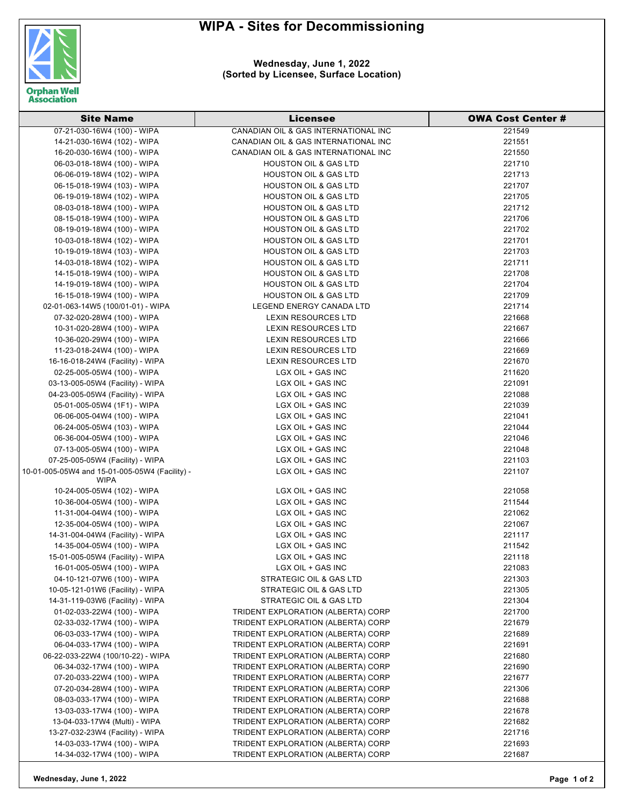## **WIPA - Sites for Decommissioning**



## **Wednesday, June 1, 2022 (Sorted by Licensee, Surface Location)**

| <b>Site Name</b>                                                | Licensee                             | <b>OWA Cost Center #</b> |
|-----------------------------------------------------------------|--------------------------------------|--------------------------|
| 07-21-030-16W4 (100) - WIPA                                     | CANADIAN OIL & GAS INTERNATIONAL INC | 221549                   |
| 14-21-030-16W4 (102) - WIPA                                     | CANADIAN OIL & GAS INTERNATIONAL INC | 221551                   |
| 16-20-030-16W4 (100) - WIPA                                     | CANADIAN OIL & GAS INTERNATIONAL INC | 221550                   |
| 06-03-018-18W4 (100) - WIPA                                     | <b>HOUSTON OIL &amp; GAS LTD</b>     | 221710                   |
| 06-06-019-18W4 (102) - WIPA                                     | <b>HOUSTON OIL &amp; GAS LTD</b>     | 221713                   |
| 06-15-018-19W4 (103) - WIPA                                     | <b>HOUSTON OIL &amp; GAS LTD</b>     | 221707                   |
| 06-19-019-18W4 (102) - WIPA                                     | <b>HOUSTON OIL &amp; GAS LTD</b>     | 221705                   |
| 08-03-018-18W4 (100) - WIPA                                     | <b>HOUSTON OIL &amp; GAS LTD</b>     | 221712                   |
| 08-15-018-19W4 (100) - WIPA                                     | <b>HOUSTON OIL &amp; GAS LTD</b>     | 221706                   |
| 08-19-019-18W4 (100) - WIPA                                     | <b>HOUSTON OIL &amp; GAS LTD</b>     | 221702                   |
| 10-03-018-18W4 (102) - WIPA                                     | <b>HOUSTON OIL &amp; GAS LTD</b>     | 221701                   |
| 10-19-019-18W4 (103) - WIPA                                     | <b>HOUSTON OIL &amp; GAS LTD</b>     | 221703                   |
| 14-03-018-18W4 (102) - WIPA                                     | <b>HOUSTON OIL &amp; GAS LTD</b>     | 221711                   |
| 14-15-018-19W4 (100) - WIPA                                     | <b>HOUSTON OIL &amp; GAS LTD</b>     | 221708                   |
| 14-19-019-18W4 (100) - WIPA                                     | <b>HOUSTON OIL &amp; GAS LTD</b>     | 221704                   |
| 16-15-018-19W4 (100) - WIPA                                     | <b>HOUSTON OIL &amp; GAS LTD</b>     | 221709                   |
| 02-01-063-14W5 (100/01-01) - WIPA                               | LEGEND ENERGY CANADA LTD             | 221714                   |
| 07-32-020-28W4 (100) - WIPA                                     | <b>LEXIN RESOURCES LTD</b>           | 221668                   |
| 10-31-020-28W4 (100) - WIPA                                     | <b>LEXIN RESOURCES LTD</b>           | 221667                   |
| 10-36-020-29W4 (100) - WIPA                                     | <b>LEXIN RESOURCES LTD</b>           | 221666                   |
|                                                                 | <b>LEXIN RESOURCES LTD</b>           | 221669                   |
| 11-23-018-24W4 (100) - WIPA<br>16-16-018-24W4 (Facility) - WIPA | <b>LEXIN RESOURCES LTD</b>           | 221670                   |
| 02-25-005-05W4 (100) - WIPA                                     | LGX OIL + GAS INC                    | 211620                   |
| 03-13-005-05W4 (Facility) - WIPA                                | LGX OIL + GAS INC                    | 221091                   |
| 04-23-005-05W4 (Facility) - WIPA                                | LGX OIL + GAS INC                    | 221088                   |
| 05-01-005-05W4 (1F1) - WIPA                                     | LGX OIL + GAS INC                    | 221039                   |
| 06-06-005-04W4 (100) - WIPA                                     | LGX OIL + GAS INC                    | 221041                   |
|                                                                 | LGX OIL + GAS INC                    | 221044                   |
| 06-24-005-05W4 (103) - WIPA<br>06-36-004-05W4 (100) - WIPA      | LGX OIL + GAS INC                    | 221046                   |
| 07-13-005-05W4 (100) - WIPA                                     | LGX OIL + GAS INC                    | 221048                   |
| 07-25-005-05W4 (Facility) - WIPA                                | LGX OIL + GAS INC                    | 221103                   |
| 10-01-005-05W4 and 15-01-005-05W4 (Facility) -                  | LGX OIL + GAS INC                    | 221107                   |
| WIPA                                                            |                                      |                          |
| 10-24-005-05W4 (102) - WIPA                                     | LGX OIL + GAS INC                    | 221058                   |
| 10-36-004-05W4 (100) - WIPA                                     | LGX OIL + GAS INC                    | 211544                   |
| 11-31-004-04W4 (100) - WIPA                                     | LGX OIL + GAS INC                    | 221062                   |
| 12-35-004-05W4 (100) - WIPA                                     | LGX OIL + GAS INC                    | 221067                   |
| 14-31-004-04W4 (Facility) - WIPA                                | LGX OIL + GAS INC                    | 221117                   |
| 14-35-004-05W4 (100) - WIPA                                     | LGX OIL + GAS INC                    | 211542                   |
| 15-01-005-05W4 (Facility) - WIPA                                | LGX OIL + GAS INC                    | 221118                   |
| 16-01-005-05W4 (100) - WIPA                                     | LGX OIL + GAS INC                    | 221083                   |
| 04-10-121-07W6 (100) - WIPA                                     | STRATEGIC OIL & GAS LTD              | 221303                   |
| 10-05-121-01W6 (Facility) - WIPA                                | STRATEGIC OIL & GAS LTD              | 221305                   |
| 14-31-119-03W6 (Facility) - WIPA                                | STRATEGIC OIL & GAS LTD              | 221304                   |
| 01-02-033-22W4 (100) - WIPA                                     | TRIDENT EXPLORATION (ALBERTA) CORP   | 221700                   |
| 02-33-032-17W4 (100) - WIPA                                     | TRIDENT EXPLORATION (ALBERTA) CORP   | 221679                   |
| 06-03-033-17W4 (100) - WIPA                                     | TRIDENT EXPLORATION (ALBERTA) CORP   | 221689                   |
| 06-04-033-17W4 (100) - WIPA                                     | TRIDENT EXPLORATION (ALBERTA) CORP   | 221691                   |
| 06-22-033-22W4 (100/10-22) - WIPA                               | TRIDENT EXPLORATION (ALBERTA) CORP   | 221680                   |
| 06-34-032-17W4 (100) - WIPA                                     | TRIDENT EXPLORATION (ALBERTA) CORP   | 221690                   |
| 07-20-033-22W4 (100) - WIPA                                     | TRIDENT EXPLORATION (ALBERTA) CORP   | 221677                   |
| 07-20-034-28W4 (100) - WIPA                                     | TRIDENT EXPLORATION (ALBERTA) CORP   | 221306                   |
| 08-03-033-17W4 (100) - WIPA                                     | TRIDENT EXPLORATION (ALBERTA) CORP   | 221688                   |
| 13-03-033-17W4 (100) - WIPA                                     | TRIDENT EXPLORATION (ALBERTA) CORP   | 221678                   |
| 13-04-033-17W4 (Multi) - WIPA                                   | TRIDENT EXPLORATION (ALBERTA) CORP   | 221682                   |
| 13-27-032-23W4 (Facility) - WIPA                                | TRIDENT EXPLORATION (ALBERTA) CORP   | 221716                   |
| 14-03-033-17W4 (100) - WIPA                                     | TRIDENT EXPLORATION (ALBERTA) CORP   | 221693                   |
| 14-34-032-17W4 (100) - WIPA                                     | TRIDENT EXPLORATION (ALBERTA) CORP   | 221687                   |

**Wednesday, June 1, 2022 Page 1 of 2**